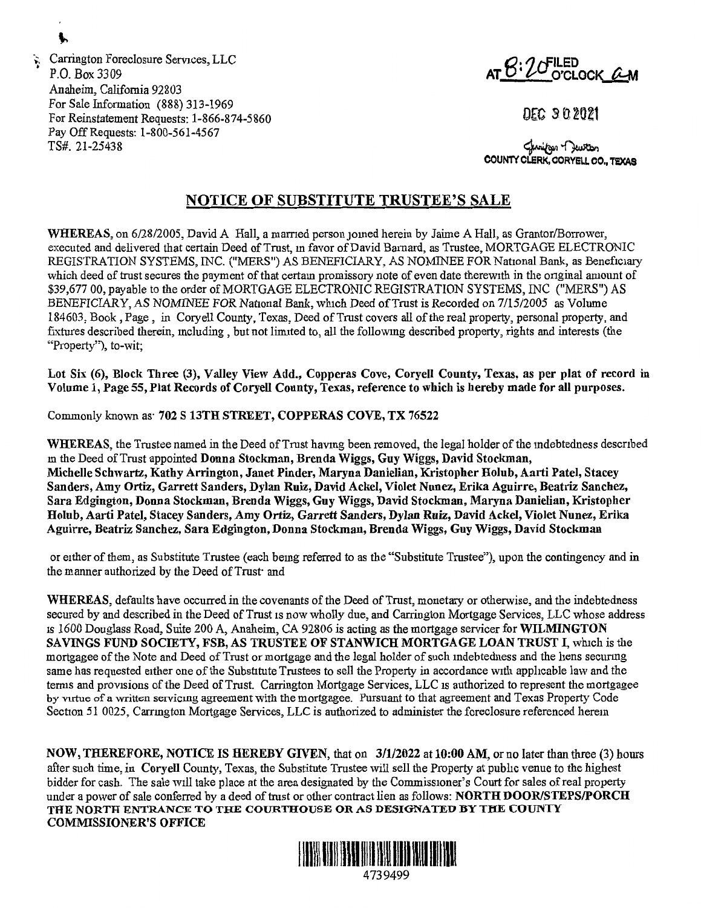$\therefore$  Carrington Foreclosure Services, LLC<br>  $\therefore$  **D O Box 3300 P.O. Box 3309 AT C**: **LED AT C**: **LED AT C**: **LED AT C**: **LED AT C**: **LED** *C* Anaheim, California 92803 For Sale Information (888) 313-1969 For Reinstatement Requests: 1-866-874-5860 Pay Off Requests: 1-800-561-4567 TS#. 21-25438

DEC 302021

**COUNTY CLERK, CORYELL CO., TEXAS** ~~ **CORYELL CO,, TEXAS** 

## **NOTICE OF SUBSTITUTE TRUSTEE'S SALE**

WHEREAS, on 6/28/2005, David A Hall, a married person joined herein by Jaime A Hall, as Grantor/Borrower, executed and delivered that certain Deed of Trust, m favor of David Barnard, as Trustee, MORTGAGE ELECTRONIC REGISTRATION SYSTEMS, INC. ("MERS") AS BENEFICIARY, AS NOMINEE FOR National Bank, as Beneficiary which deed of trust secures the payment of that certam promissory note of even date therewith in the onginal amount of \$39,677 00, payable to the order of MORTGAGE ELECTRONIC REGISTRATION SYSTEMS, INC ("MERS") AS BENEFICIARY, *AS NOMINEE* FOR National Bank, which Deed of Trust is Recorded on 7/15/2005 as Volume 184603, Book, Page, in Coryell County, Texas, Deed of Trust covers all of the real property, personal property, and fixtures described therein, mcluding, but not limited to, all the followmg described property, rights and interests (the "Property"), to-wit;

Lot Six (6), Block Three (3), Valley View Add., Copperas Cove, Coryell County, Texas, as per plat of record in **Volume** 1, **Page 55, Plat Records of Coryell County, Texas, reference to which is hereby made for all purposes.** 

Commonly known as· **702 S 13TH STREET, COPPERAS COVE, TX 76522** 

**WHEREAS,** the Trustee named in the Deed of Trust havmg been removed, the legal holder of the mdebtedness descnbed m the Deed of Trust appointed **Donna Stockman, Brenda Wiggs, Guy Wiggs, David Stockman, Michelle Schwartz, Kathy Arrington, Janet Pinder, Maryna Danielian, Kristopher Holub, Aa11i Patel, Stacey Sanders, Amy Ortiz, Garrett Sanders, Dylan Ruiz, David Ackel, Violet Nunez, Erika Aguirre, Beatriz Sanchez, Sara Edgington, Donna Stockman, Brenda Wiggs, Guy Wiggs, David Stockman, Maryna Danielian, Kristopher Holub, Aarti Patel, Stacey Sanders, Amy Ortiz, Garrett Sanders, Dylan Ruiz, David Ackel, Violet Nunez, Erika Aguirre, Beatriz Sanchez, Sara Edgington, Donna Stockman, Brenda Wiggs, Guy Wiggs, David Stockman** 

or either of them, as Substitute Trustee ( each bemg referred to as the "Substitute Trustee"), upon the contingency and in the manner authorized by the Deed of Trust<sup>-</sup> and

**WHEREAS,** defaults have occurred in the covenants of the Deed of Trust, monetary or otherwise, and the indebtedness secured by and described in the Deed of Trust 1s now wholly due, and Carrington Mortgage Services, LLC whose address IS 1600 Douglass Road, Suite 200 A, Anaheim, CA 92806 is acting as the mortgage servicer for **WILMINGTON SAVINGS FUND SOCIETY, FSB, AS TRUSTEE OF STANWICH MORTGAGE LOAN TRUST I, which is the** mortgagee of the Note and Deed of Trust or mortgage and the legal holder of such mdebtedness and the hens securmg same has requested either one of the Substitute Trustees to sell the Property in accordance with applicable law and the terms and provisions of the Deed of Trust. Carrington Mortgage Services, LLC is authorized to represent the mortgagee by virtue of a written servicmg agreement with the mortgagee. Pursuant to that agreement and Texas Property Code Section 51 0025, Carrmgton Mortgage Services, LLC is authorized to administer the foreclosure referenced herem

**NOW, THEREFORE, NOTICE IS HEREBY GIVEN,** that on **3/1/2022** at **10:00 AM,** or no later than three (3) hours after such time, in **Coryell** County, Texas, the Substitute Trustee will sell the Property at public venue to the highest bidder for cash. The sale will take place at the area designated by the Commissioner's Court for sales of real property under a power of sale conferred by a deed of trust or other contract lien as follows: **NORTH DOOR/STEPS/PORCH THE NORTH ENTRANCE TO THE COURTHOUSE OR AS DESIGNATED BY THE COUNTY COMMISSIONER'S OFFICE** 



Ł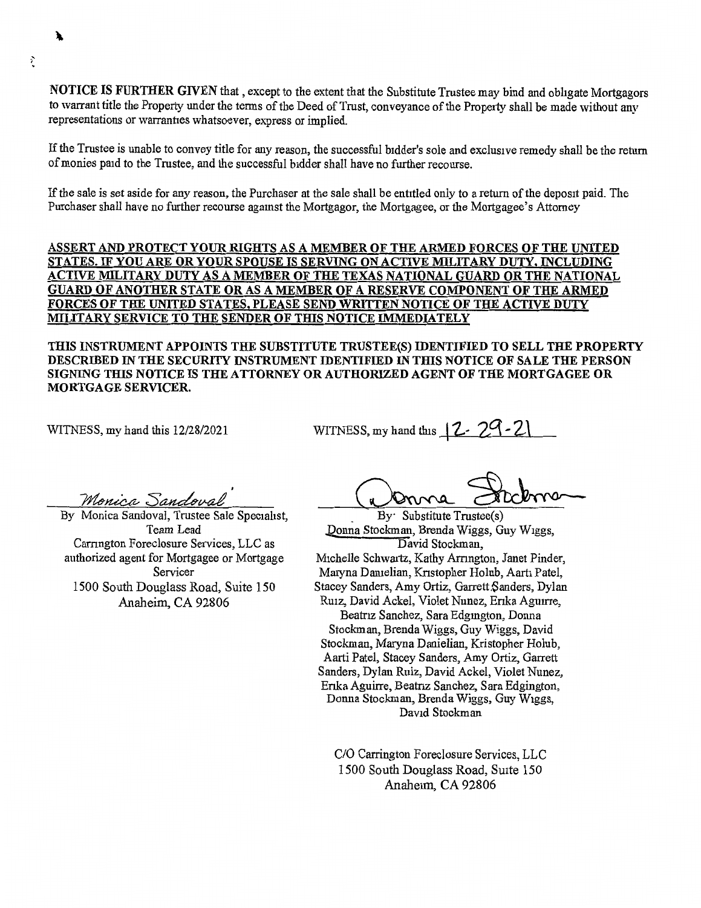**NOTICE IS FURTHER GIVEN** that, except to the extent that the Substitute Trustee may bind and obligate Mortgagors to warrant title the Property under the terms of the Deed of Trust, conveyance of the Property shall be made without any representations or warranties whatsoever, express or implied.

If the Trustee is unable to convey title for any reason, the successful bidder's sole and exclusive remedy shall be the return of monies paid to the Trustee, and the successful bidder shall have no further recourse.

If the sale is set aside for any reason, the Purchaser at the sale shall be entitled only to a return of the deposit paid. The Purchaser shall have no further recourse agamst the Mortgagor, the Mortgagee, or the Mortgagee's Attorney

**ASSERT AND PROTECT YOUR RIGHTS AS A MEMBER OF THE ARMED FORCES OF THE UNITED STATES.** IF **YOU ARE OR YOUR SPOUSE IS SERVING ON ACTIVE MILITARY DUTY, INCLUDING ACTIVE MILITARY DUTY AS A MEMBER OF THE TEXAS NATIONAL GUARD OR THE NATIONAL GUARD OF ANOTHER STATE OR AS A MEMBER OF A RESERVE COMPONENT OF THE ARMED FORCES OF THE UNITED STATES, PLEASE SEND WRITTEN NOTICE OF THE ACTIVE DUTY MILITARY SERVICE TO THE SENDER OF THIS NOTICE IMMEDIATELY** 

**THIS INSTRUMENT APPOINTS THE SUBSTITUTE TRUSTEE(S) IDENTIFIED TO SELL THE PROPERTY DESCRIBED** IN **THE SECURITY INSTRUMENT IDENTIFIED** IN **TIDS NOTICE OF SALE THE PERSON SIGNING THIS NOTICE IS THE ATTORNEY OR AUTHORIZED AGENT OF THE MORTGAGEE OR MORTGAGE SERVICER.** 

WITNESS, my hand this 12/28/2021

WITNESS, my hand this  $12.29$ 

Monica Sandoval

By Monica Sandoval, Trustee Sale Specialist, Team Lead Carrington Foreclosure Services, LLC as authorized agent for Mortgagee or Mortgage Servicer 1500 South Douglass Road, Suite 150 Anaheim, CA 92806

SS, my hand this 12 . 29 . 21<br>
where Stockman Broad Wines<br>
By Substitute Trustee(s)

. Donna Stockman, Brenda Wiggs, Guy Wiggs, David Stockman, Michelle Schwartz, Kathy Arrmgton, Janet Pinder, Maryna Danielian, Knstopher Holub, Aarti Patel, Stacey Sanders, Amy Ortiz, Garrett.Sanders, Dylan Rmz, David Ackel, Violet Nunez, Enka Aguirre, Beatnz Sanchez, Sara Edgmgton, Donna Stockman, Brenda Wiggs, Guy Wiggs, David Stockman, Maryna Danielian, Kristopher Holub, Aarti Patel, Stacey Sanders, Amy Ortiz, Garrett Sanders, Dylan Ruiz, David Ackel, Violet Nunez, Enka Aguirre, Beatnz Sanchez, Sara Edgington, Donna Stockman, Brenda Wiggs, Guy Wiggs, David Stockman

C/O Carrington Foreclosure Services, LLC 1500 South Douglass Road, Suite 150 Anaheim, CA 92806

; '